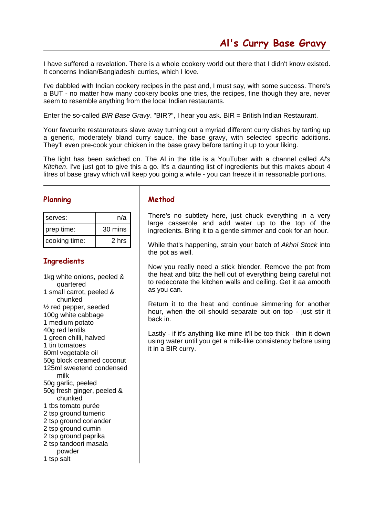I have suffered a revelation. There is a whole cookery world out there that I didn't know existed. It concerns Indian/Bangladeshi curries, which I love.

I've dabbled with Indian cookery recipes in the past and, I must say, with some success. There's a BUT - no matter how many cookery books one tries, the recipes, fine though they are, never seem to resemble anything from the local Indian restaurants.

Enter the so-called BIR Base Gravy. "BIR?", I hear you ask. BIR = British Indian Restaurant.

Your favourite restaurateurs slave away turning out a myriad different curry dishes by tarting up a generic, moderately bland curry sauce, the base gravy, with selected specific additions. They'll even pre-cook your chicken in the base gravy before tarting it up to your liking.

The light has been swiched on. The Al in the title is a YouTuber with a channel called Al's Kitchen. I've just got to give this a go. It's a daunting list of ingredients but this makes about 4 litres of base gravy which will keep you going a while - you can freeze it in reasonable portions.

## **Planning**

| serves:       | n/a     |
|---------------|---------|
| prep time:    | 30 mins |
| cooking time: | 2 hrs   |

## **Ingredients**

1kg white onions, peeled & quartered 1 small carrot, peeled & chunked ½ red pepper, seeded 100g white cabbage 1 medium potato 40g red lentils 1 green chilli, halved 1 tin tomatoes 60ml vegetable oil 50g block creamed coconut 125ml sweetend condensed milk 50g garlic, peeled 50g fresh ginger, peeled & chunked 1 tbs tomato purée 2 tsp ground tumeric 2 tsp ground coriander 2 tsp ground cumin 2 tsp ground paprika 2 tsp tandoori masala powder 1 tsp salt

## **Method**

There's no subtlety here, just chuck everything in a very large casserole and add water up to the top of the ingredients. Bring it to a gentle simmer and cook for an hour.

While that's happening, strain your batch of Akhni Stock into the pot as well.

Now you really need a stick blender. Remove the pot from the heat and blitz the hell out of everything being careful not to redecorate the kitchen walls and ceiling. Get it aa amooth as you can.

Return it to the heat and continue simmering for another hour, when the oil should separate out on top - just stir it back in.

Lastly - if it's anything like mine it'll be too thick - thin it down using water until you get a milk-like consistency before using it in a BIR curry.